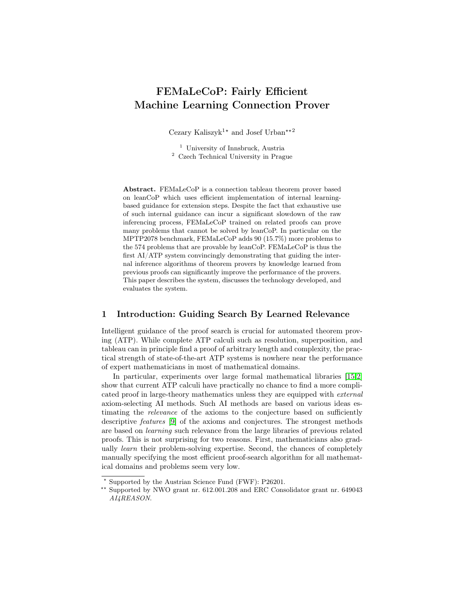# FEMaLeCoP: Fairly Efficient Machine Learning Connection Prover

Cezary Kaliszyk<sup>1\*</sup> and Josef Urban<sup>\*\*2</sup>

<sup>1</sup> University of Innsbruck, Austria <sup>2</sup> Czech Technical University in Prague

Abstract. FEMaLeCoP is a connection tableau theorem prover based on leanCoP which uses efficient implementation of internal learningbased guidance for extension steps. Despite the fact that exhaustive use of such internal guidance can incur a significant slowdown of the raw inferencing process, FEMaLeCoP trained on related proofs can prove many problems that cannot be solved by leanCoP. In particular on the MPTP2078 benchmark, FEMaLeCoP adds 90 (15.7%) more problems to the 574 problems that are provable by leanCoP. FEMaLeCoP is thus the first AI/ATP system convincingly demonstrating that guiding the internal inference algorithms of theorem provers by knowledge learned from previous proofs can significantly improve the performance of the provers. This paper describes the system, discusses the technology developed, and evaluates the system.

## <span id="page-0-0"></span>1 Introduction: Guiding Search By Learned Relevance

Intelligent guidance of the proof search is crucial for automated theorem proving (ATP). While complete ATP calculi such as resolution, superposition, and tableau can in principle find a proof of arbitrary length and complexity, the practical strength of state-of-the-art ATP systems is nowhere near the performance of expert mathematicians in most of mathematical domains.

In particular, experiments over large formal mathematical libraries [\[15,](#page-7-0)[2\]](#page-7-1) show that current ATP calculi have practically no chance to find a more complicated proof in large-theory mathematics unless they are equipped with external axiom-selecting AI methods. Such AI methods are based on various ideas estimating the relevance of the axioms to the conjecture based on sufficiently descriptive features [\[9\]](#page-7-2) of the axioms and conjectures. The strongest methods are based on learning such relevance from the large libraries of previous related proofs. This is not surprising for two reasons. First, mathematicians also gradually learn their problem-solving expertise. Second, the chances of completely manually specifying the most efficient proof-search algorithm for all mathematical domains and problems seem very low.

<sup>?</sup> Supported by the Austrian Science Fund (FWF): P26201.

 $*$ \* Supported by NWO grant nr. 612.001.208 and ERC Consolidator grant nr. 649043 AI4REASON.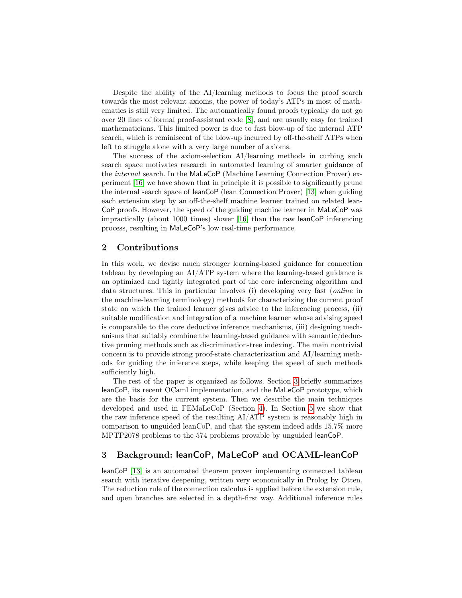Despite the ability of the AI/learning methods to focus the proof search towards the most relevant axioms, the power of today's ATPs in most of mathematics is still very limited. The automatically found proofs typically do not go over 20 lines of formal proof-assistant code [\[8\]](#page-7-3), and are usually easy for trained mathematicians. This limited power is due to fast blow-up of the internal ATP search, which is reminiscent of the blow-up incurred by off-the-shelf ATPs when left to struggle alone with a very large number of axioms.

The success of the axiom-selection AI/learning methods in curbing such search space motivates research in automated learning of smarter guidance of the internal search. In the MaLeCoP (Machine Learning Connection Prover) experiment [\[16\]](#page-7-4) we have shown that in principle it is possible to significantly prune the internal search space of leanCoP (lean Connection Prover) [\[13\]](#page-7-5) when guiding each extension step by an off-the-shelf machine learner trained on related lean-CoP proofs. However, the speed of the guiding machine learner in MaLeCoP was impractically (about 1000 times) slower [\[16\]](#page-7-4) than the raw leanCoP inferencing process, resulting in MaLeCoP's low real-time performance.

## 2 Contributions

In this work, we devise much stronger learning-based guidance for connection tableau by developing an AI/ATP system where the learning-based guidance is an optimized and tightly integrated part of the core inferencing algorithm and data structures. This in particular involves (i) developing very fast (online in the machine-learning terminology) methods for characterizing the current proof state on which the trained learner gives advice to the inferencing process, (ii) suitable modification and integration of a machine learner whose advising speed is comparable to the core deductive inference mechanisms, (iii) designing mechanisms that suitably combine the learning-based guidance with semantic/deductive pruning methods such as discrimination-tree indexing. The main nontrivial concern is to provide strong proof-state characterization and AI/learning methods for guiding the inference steps, while keeping the speed of such methods sufficiently high.

The rest of the paper is organized as follows. Section [3](#page-1-0) briefly summarizes leanCoP, its recent OCaml implementation, and the MaLeCoP prototype, which are the basis for the current system. Then we describe the main techniques developed and used in FEMaLeCoP (Section [4\)](#page-2-0). In Section [5](#page-5-0) we show that the raw inference speed of the resulting AI/ATP system is reasonably high in comparison to unguided leanCoP, and that the system indeed adds 15.7% more MPTP2078 problems to the 574 problems provable by unguided leanCoP.

## <span id="page-1-0"></span>3 Background: leanCoP, MaLeCoP and OCAML-leanCoP

leanCoP [\[13\]](#page-7-5) is an automated theorem prover implementing connected tableau search with iterative deepening, written very economically in Prolog by Otten. The reduction rule of the connection calculus is applied before the extension rule, and open branches are selected in a depth-first way. Additional inference rules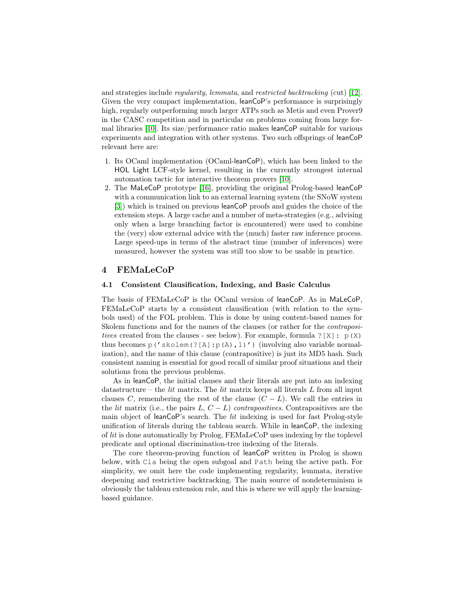and strategies include *regularity*, *lemmata*, and *restricted backtracking* (cut)  $|12|$ . Given the very compact implementation, leanCoP's performance is surprisingly high, regularly outperforming much larger ATPs such as Metis and even Prover 9 in the CASC competition and in particular on problems coming from large formal libraries [\[10\]](#page-7-7). Its size/performance ratio makes leanCoP suitable for various experiments and integration with other systems. Two such offsprings of leanCoP relevant here are:

- 1. Its OCaml implementation (OCaml-leanCoP), which has been linked to the HOL Light LCF-style kernel, resulting in the currently strongest internal automation tactic for interactive theorem provers [\[10\]](#page-7-7).
- 2. The MaLeCoP prototype [\[16\]](#page-7-4), providing the original Prolog-based leanCoP with a communication link to an external learning system (the SNoW system [\[3\]](#page-7-8)) which is trained on previous leanCoP proofs and guides the choice of the extension steps. A large cache and a number of meta-strategies (e.g., advising only when a large branching factor is encountered) were used to combine the (very) slow external advice with the (much) faster raw inference process. Large speed-ups in terms of the abstract time (number of inferences) were measured, however the system was still too slow to be usable in practice.

## <span id="page-2-0"></span>4 FEMaLeCoP

#### <span id="page-2-1"></span>4.1 Consistent Clausification, Indexing, and Basic Calculus

The basis of FEMaLeCoP is the OCaml version of leanCoP. As in MaLeCoP, FEMaLeCoP starts by a consistent clausification (with relation to the symbols used) of the FOL problem. This is done by using content-based names for Skolem functions and for the names of the clauses (or rather for the contrapositives created from the clauses - see below). For example, formula  $?[X]: p(X)$ thus becomes  $p('skolem(?A]:p(A),1)')$  (involving also variable normalization), and the name of this clause (contrapositive) is just its MD5 hash. Such consistent naming is essential for good recall of similar proof situations and their solutions from the previous problems.

As in leanCoP, the initial clauses and their literals are put into an indexing datastructure – the *lit* matrix. The *lit* matrix keeps all literals  $L$  from all input clauses C, remembering the rest of the clause  $(C - L)$ . We call the entries in the *lit* matrix (i.e., the pairs L,  $C - L$ ) contrapositives. Contrapositives are the main object of leanCoP's search. The  $lit$  indexing is used for fast Prolog-style unification of literals during the tableau search. While in leanCoP, the indexing of lit is done automatically by Prolog, FEMaLeCoP uses indexing by the toplevel predicate and optional discrimination-tree indexing of the literals.

The core theorem-proving function of leanCoP written in Prolog is shown below, with Cla being the open subgoal and Path being the active path. For simplicity, we omit here the code implementing regularity, lemmata, iterative deepening and restrictive backtracking. The main source of nondeterminism is obviously the tableau extension rule, and this is where we will apply the learningbased guidance.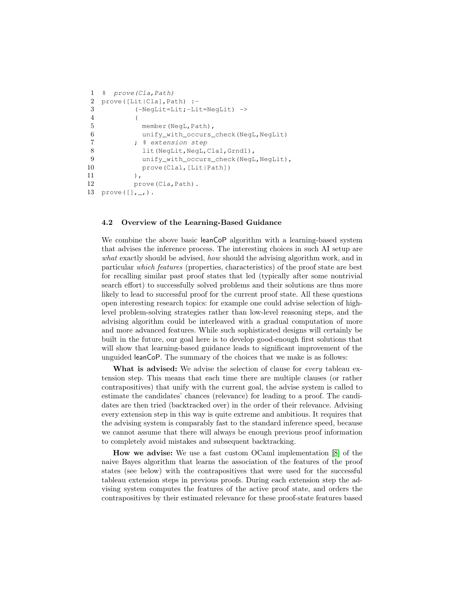```
1 % prove(Cla,Path)
2 prove([Lit|Cla],Path) :-
3 (-NegLit=Lit;-Lit=NegLit) ->
4 (
5 member(NegL,Path),
6 unify_with_occurs_check(NegL,NegLit)
7 ; \frac{1}{6} extension step
8 lit(NegLit, NegL, Cla1, Grnd1),
9 unify_with_occurs_check(NegL,NegLit),
10 prove(Cla1, [Lit|Path])
11 ),
12 prove(Cla, Path).
13 prove([],\_').
```
#### 4.2 Overview of the Learning-Based Guidance

We combine the above basic leanCoP algorithm with a learning-based system that advises the inference process. The interesting choices in such AI setup are what exactly should be advised, how should the advising algorithm work, and in particular which features (properties, characteristics) of the proof state are best for recalling similar past proof states that led (typically after some nontrivial search effort) to successfully solved problems and their solutions are thus more likely to lead to successful proof for the current proof state. All these questions open interesting research topics: for example one could advise selection of highlevel problem-solving strategies rather than low-level reasoning steps, and the advising algorithm could be interleaved with a gradual computation of more and more advanced features. While such sophisticated designs will certainly be built in the future, our goal here is to develop good-enough first solutions that will show that learning-based guidance leads to significant improvement of the unguided leanCoP. The summary of the choices that we make is as follows:

What is advised: We advise the selection of clause for every tableau extension step. This means that each time there are multiple clauses (or rather contrapositives) that unify with the current goal, the advise system is called to estimate the candidates' chances (relevance) for leading to a proof. The candidates are then tried (backtracked over) in the order of their relevance. Advising every extension step in this way is quite extreme and ambitious. It requires that the advising system is comparably fast to the standard inference speed, because we cannot assume that there will always be enough previous proof information to completely avoid mistakes and subsequent backtracking.

How we advise: We use a fast custom OCaml implementation [\[8\]](#page-7-3) of the naive Bayes algorithm that learns the association of the features of the proof states (see below) with the contrapositives that were used for the successful tableau extension steps in previous proofs. During each extension step the advising system computes the features of the active proof state, and orders the contrapositives by their estimated relevance for these proof-state features based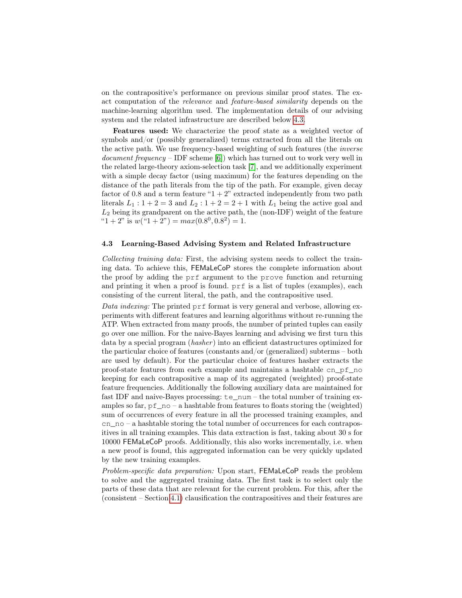on the contrapositive's performance on previous similar proof states. The exact computation of the relevance and feature-based similarity depends on the machine-learning algorithm used. The implementation details of our advising system and the related infrastructure are described below [4.3.](#page-4-0)

Features used: We characterize the proof state as a weighted vector of symbols and/or (possibly generalized) terms extracted from all the literals on the active path. We use frequency-based weighting of such features (the inverse document frequency – IDF scheme  $[6]$ ) which has turned out to work very well in the related large-theory axiom-selection task [\[7\]](#page-7-10), and we additionally experiment with a simple decay factor (using maximum) for the features depending on the distance of the path literals from the tip of the path. For example, given decay factor of 0.8 and a term feature " $1 + 2$ " extracted independently from two path literals  $L_1: 1+2=3$  and  $L_2: 1+2=2+1$  with  $L_1$  being the active goal and  $L_2$  being its grandparent on the active path, the (non-IDF) weight of the feature " $1 + 2$ " is  $w("1 + 2") = max(0.8^0, 0.8^2) = 1.$ 

#### <span id="page-4-0"></span>4.3 Learning-Based Advising System and Related Infrastructure

Collecting training data: First, the advising system needs to collect the training data. To achieve this, FEMaLeCoP stores the complete information about the proof by adding the prf argument to the prove function and returning and printing it when a proof is found. prf is a list of tuples (examples), each consisting of the current literal, the path, and the contrapositive used.

Data indexing: The printed prf format is very general and verbose, allowing experiments with different features and learning algorithms without re-running the ATP. When extracted from many proofs, the number of printed tuples can easily go over one million. For the naive-Bayes learning and advising we first turn this data by a special program *(hasher)* into an efficient datastructures optimized for the particular choice of features (constants and/or (generalized) subterms – both are used by default). For the particular choice of features hasher extracts the proof-state features from each example and maintains a hashtable cn\_pf\_no keeping for each contrapositive a map of its aggregated (weighted) proof-state feature frequencies. Additionally the following auxiliary data are maintained for fast IDF and naive-Bayes processing: te\_num – the total number of training examples so far,  $pf\_no - a$  hashtable from features to floats storing the (weighted) sum of occurrences of every feature in all the processed training examples, and cn\_no – a hashtable storing the total number of occurrences for each contrapositives in all training examples. This data extraction is fast, taking about 30 s for 10000 FEMaLeCoP proofs. Additionally, this also works incrementally, i.e. when a new proof is found, this aggregated information can be very quickly updated by the new training examples.

Problem-specific data preparation: Upon start, FEMaLeCoP reads the problem to solve and the aggregated training data. The first task is to select only the parts of these data that are relevant for the current problem. For this, after the (consistent – Section [4.1\)](#page-2-1) clausification the contrapositives and their features are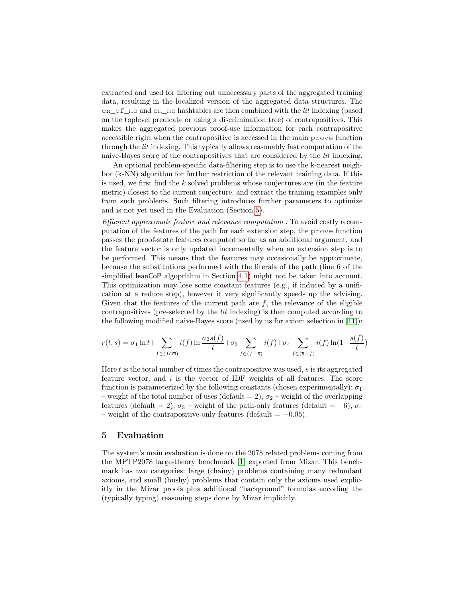extracted and used for filtering out unnecessary parts of the aggregated training data, resulting in the localized version of the aggregated data structures. The cn\_pf\_no and cn\_no hashtables are then combined with the lit indexing (based on the toplevel predicate or using a discrimination tree) of contrapositives. This makes the aggregated previous proof-use information for each contrapositive accessible right when the contrapositive is accessed in the main prove function through the lit indexing. This typically allows reasonably fast computation of the naive-Bayes score of the contrapositives that are considered by the lit indexing.

An optional problem-specific data-filtering step is to use the k-nearest neighbor (k-NN) algorithm for further restriction of the relevant training data. If this is used, we first find the k solved problems whose conjectures are (in the feature metric) closest to the current conjecture, and extract the training examples only from such problems. Such filtering introduces further parameters to optimize and is not yet used in the Evaluation (Section [5\)](#page-5-0).

Efficient approximate feature and relevance computation : To avoid costly recomputation of the features of the path for each extension step, the prove function passes the proof-state features computed so far as an additional argument, and the feature vector is only updated incrementally when an extension step is to be performed. This means that the features may occasionally be approximate, because the substitutions performed with the literals of the path (line 6 of the simplified leanCoP algoprithm in Section [4.1\)](#page-2-1) might not be taken into account. This optimization may lose some constant features (e.g., if induced by a unification at a reduce step), however it very significantly speeds up the advising. Given that the features of the current path are  $f$ , the relevance of the eligible contrapositives (pre-selected by the lit indexing) is then computed according to the following modified naive-Bayes score (used by us for axiom selection in [\[11\]](#page-7-11)):

$$
r(t,s) = \sigma_1 \ln t + \sum_{f \in (\overline{f} \cap \overline{s})} i(f) \ln \frac{\sigma_2 s(f)}{t} + \sigma_3 \sum_{f \in (\overline{f} - \overline{s})} i(f) + \sigma_4 \sum_{f \in (\overline{s} - \overline{f})} i(f) \ln(1 - \frac{s(f)}{t})
$$

Here  $t$  is the total number of times the contrapositive was used,  $s$  is its aggregated feature vector, and  $i$  is the vector of IDF weights of all features. The score function is parameterized by the following constants (chosen experimentally):  $\sigma_1$ – weight of the total number of uses (default  $= 2$ ),  $\sigma_2$  – weight of the overlapping features (default = 2),  $\sigma_3$  – weight of the path-only features (default = -6),  $\sigma_4$ – weight of the contrapositive-only features (default =  $-0.05$ ).

## <span id="page-5-0"></span>5 Evaluation

The system's main evaluation is done on the 2078 related problems coming from the MPTP2078 large-theory benchmark [\[1\]](#page-7-12) exported from Mizar. This benchmark has two categories: large (chainy) problems containing many redundant axioms, and small (bushy) problems that contain only the axioms used explicitly in the Mizar proofs plus additional "background" formulas encoding the (typically typing) reasoning steps done by Mizar implicitly.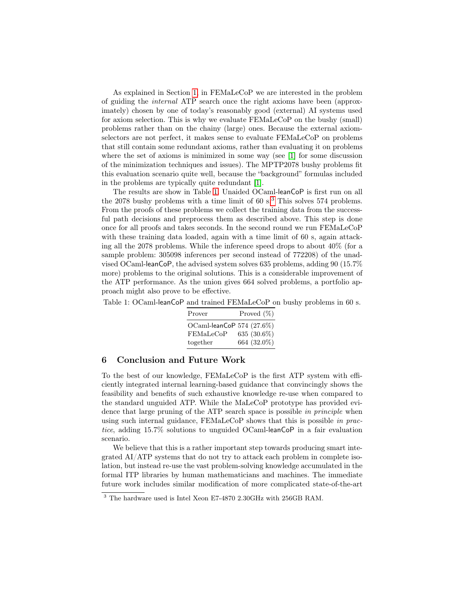As explained in Section [1,](#page-0-0) in FEMaLeCoP we are interested in the problem of guiding the internal ATP search once the right axioms have been (approximately) chosen by one of today's reasonably good (external) AI systems used for axiom selection. This is why we evaluate FEMaLeCoP on the bushy (small) problems rather than on the chainy (large) ones. Because the external axiomselectors are not perfect, it makes sense to evaluate FEMaLeCoP on problems that still contain some redundant axioms, rather than evaluating it on problems where the set of axioms is minimized in some way (see [\[1\]](#page-7-12) for some discussion of the minimization techniques and issues). The MPTP2078 bushy problems fit this evaluation scenario quite well, because the "background" formulas included in the problems are typically quite redundant [\[1\]](#page-7-12).

The results are show in Table [1.](#page-6-0) Unaided OCaml-leanCoP is first run on all the 2078 bushy problems with a time limit of  $60 \text{ s}$ .<sup>[3](#page-6-1)</sup> This solves 574 problems. From the proofs of these problems we collect the training data from the successful path decisions and preprocess them as described above. This step is done once for all proofs and takes seconds. In the second round we run FEMaLeCoP with these training data loaded, again with a time limit of 60 s, again attacking all the 2078 problems. While the inference speed drops to about 40% (for a sample problem: 305098 inferences per second instead of 772208) of the unadvised OCaml-leanCoP, the advised system solves 635 problems, adding 90 (15.7% more) problems to the original solutions. This is a considerable improvement of the ATP performance. As the union gives 664 solved problems, a portfolio approach might also prove to be effective.

<span id="page-6-0"></span>Table 1: OCaml-leanCoP and trained FEMaLeCoP on bushy problems in 60 s.

| Prover                    | Proved $(\%)$ |
|---------------------------|---------------|
| OCaml-leanCoP 574 (27.6%) |               |
| FEMaLeCoP                 | 635 (30.6%)   |
| together                  | 664 (32.0%)   |

## 6 Conclusion and Future Work

To the best of our knowledge, FEMaLeCoP is the first ATP system with efficiently integrated internal learning-based guidance that convincingly shows the feasibility and benefits of such exhaustive knowledge re-use when compared to the standard unguided ATP. While the MaLeCoP prototype has provided evidence that large pruning of the ATP search space is possible in principle when using such internal guidance, FEMaLeCoP shows that this is possible in practice, adding 15.7% solutions to unguided OCaml-leanCoP in a fair evaluation scenario.

We believe that this is a rather important step towards producing smart integrated AI/ATP systems that do not try to attack each problem in complete isolation, but instead re-use the vast problem-solving knowledge accumulated in the formal ITP libraries by human mathematicians and machines. The immediate future work includes similar modification of more complicated state-of-the-art

<span id="page-6-1"></span><sup>3</sup> The hardware used is Intel Xeon E7-4870 2.30GHz with 256GB RAM.